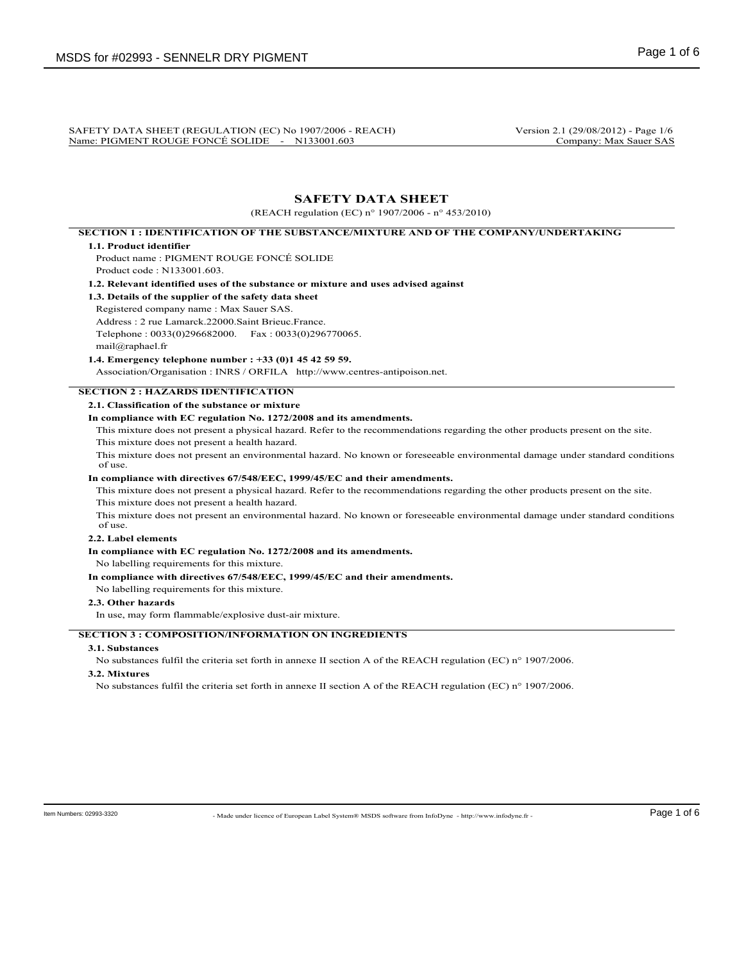SAFETY DATA SHEET (REGULATION (EC) No 1907/2006 - REACH) Version 2.1 (29/08/2012) - Page 1/6<br>Name: PIGMENT ROUGE FONCÉ SOLIDE - N133001.603 Company: Max Sauer SAS Name: PIGMENT ROUGE FONCÉ SOLIDE - N133001.603

# **SAFETY DATA SHEET**

(REACH regulation (EC) n° 1907/2006 - n° 453/2010)

# **SECTION 1 : IDENTIFICATION OF THE SUBSTANCE/MIXTURE AND OF THE COMPANY/UNDERTAKING**

### **1.1. Product identifier**

Product name : PIGMENT ROUGE FONCÉ SOLIDE Product code : N133001.603.

**1.2. Relevant identified uses of the substance or mixture and uses advised against**

**1.3. Details of the supplier of the safety data sheet**

Registered company name : Max Sauer SAS.

Address : 2 rue Lamarck.22000.Saint Brieuc.France.

Telephone : 0033(0)296682000. Fax : 0033(0)296770065.

### mail@raphael.fr **1.4. Emergency telephone number : +33 (0)1 45 42 59 59.**

Association/Organisation : INRS / ORFILA http://www.centres-antipoison.net.

# **SECTION 2 : HAZARDS IDENTIFICATION**

**2.1. Classification of the substance or mixture**

# **In compliance with EC regulation No. 1272/2008 and its amendments.**

This mixture does not present a physical hazard. Refer to the recommendations regarding the other products present on the site.

This mixture does not present a health hazard.

This mixture does not present an environmental hazard. No known or foreseeable environmental damage under standard conditions of use.

#### **In compliance with directives 67/548/EEC, 1999/45/EC and their amendments.**

This mixture does not present a physical hazard. Refer to the recommendations regarding the other products present on the site. This mixture does not present a health hazard.

This mixture does not present an environmental hazard. No known or foreseeable environmental damage under standard conditions of use.

# **2.2. Label elements**

**In compliance with EC regulation No. 1272/2008 and its amendments.**

No labelling requirements for this mixture.

### **In compliance with directives 67/548/EEC, 1999/45/EC and their amendments.**

No labelling requirements for this mixture.

### **2.3. Other hazards**

In use, may form flammable/explosive dust-air mixture.

## **SECTION 3 : COMPOSITION/INFORMATION ON INGREDIENTS**

# **3.1. Substances**

No substances fulfil the criteria set forth in annexe II section A of the REACH regulation (EC) n° 1907/2006.

# **3.2. Mixtures**

No substances fulfil the criteria set forth in annexe II section A of the REACH regulation (EC) n° 1907/2006.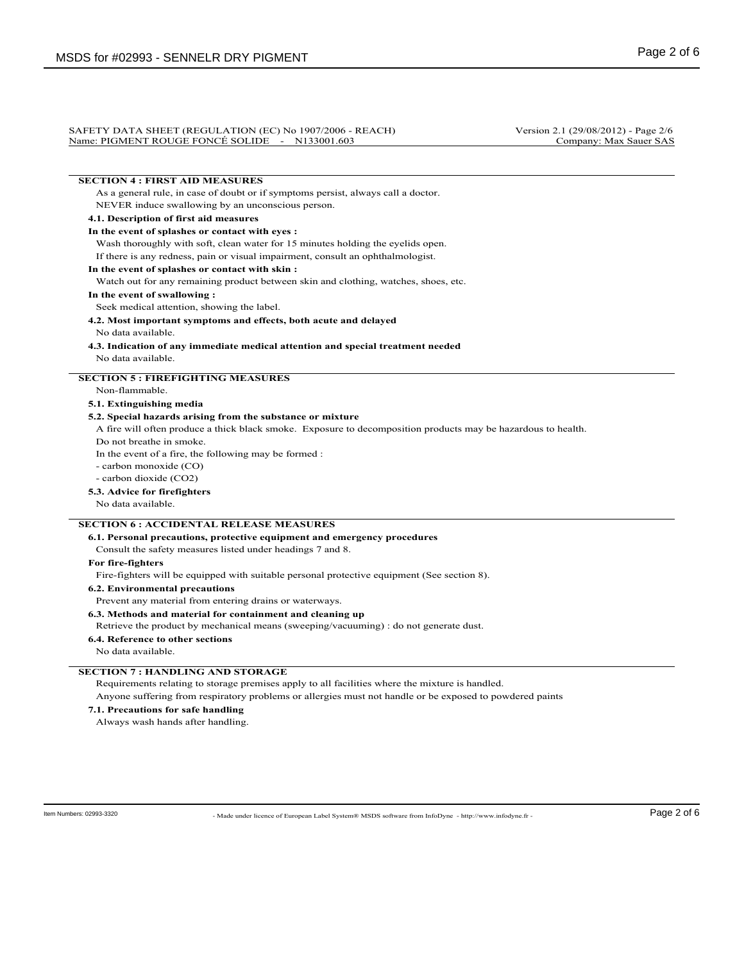#### SAFETY DATA SHEET (REGULATION (EC) No 1907/2006 - REACH) Version 2.1 (29/08/2012) - Page 2/6<br>Name: PIGMENT ROUGE FONCÉ SOLIDE - N133001.603 Company: Max Sauer SAS Name: PIGMENT ROUGE FONCÉ SOLIDE - N133001.603

# **SECTION 4 : FIRST AID MEASURES**

As a general rule, in case of doubt or if symptoms persist, always call a doctor. NEVER induce swallowing by an unconscious person.

#### **4.1. Description of first aid measures**

#### **In the event of splashes or contact with eyes :**

Wash thoroughly with soft, clean water for 15 minutes holding the eyelids open. If there is any redness, pain or visual impairment, consult an ophthalmologist.

#### **In the event of splashes or contact with skin :**

Watch out for any remaining product between skin and clothing, watches, shoes, etc.

#### **In the event of swallowing :**

Seek medical attention, showing the label.

**4.2. Most important symptoms and effects, both acute and delayed**

#### No data available.

**4.3. Indication of any immediate medical attention and special treatment needed** No data available.

### **SECTION 5 : FIREFIGHTING MEASURES**

Non-flammable.

## **5.1. Extinguishing media**

### **5.2. Special hazards arising from the substance or mixture**

A fire will often produce a thick black smoke. Exposure to decomposition products may be hazardous to health.

Do not breathe in smoke.

In the event of a fire, the following may be formed :

- carbon monoxide (CO)

- carbon dioxide (CO2)

#### **5.3. Advice for firefighters**

No data available.

# **SECTION 6 : ACCIDENTAL RELEASE MEASURES**

#### **6.1. Personal precautions, protective equipment and emergency procedures**

Consult the safety measures listed under headings 7 and 8.

#### **For fire-fighters**

Fire-fighters will be equipped with suitable personal protective equipment (See section 8).

**6.2. Environmental precautions**

Prevent any material from entering drains or waterways.

**6.3. Methods and material for containment and cleaning up**

Retrieve the product by mechanical means (sweeping/vacuuming) : do not generate dust.

**6.4. Reference to other sections**

No data available.

### **SECTION 7 : HANDLING AND STORAGE**

Requirements relating to storage premises apply to all facilities where the mixture is handled.

Anyone suffering from respiratory problems or allergies must not handle or be exposed to powdered paints

**7.1. Precautions for safe handling**

Always wash hands after handling.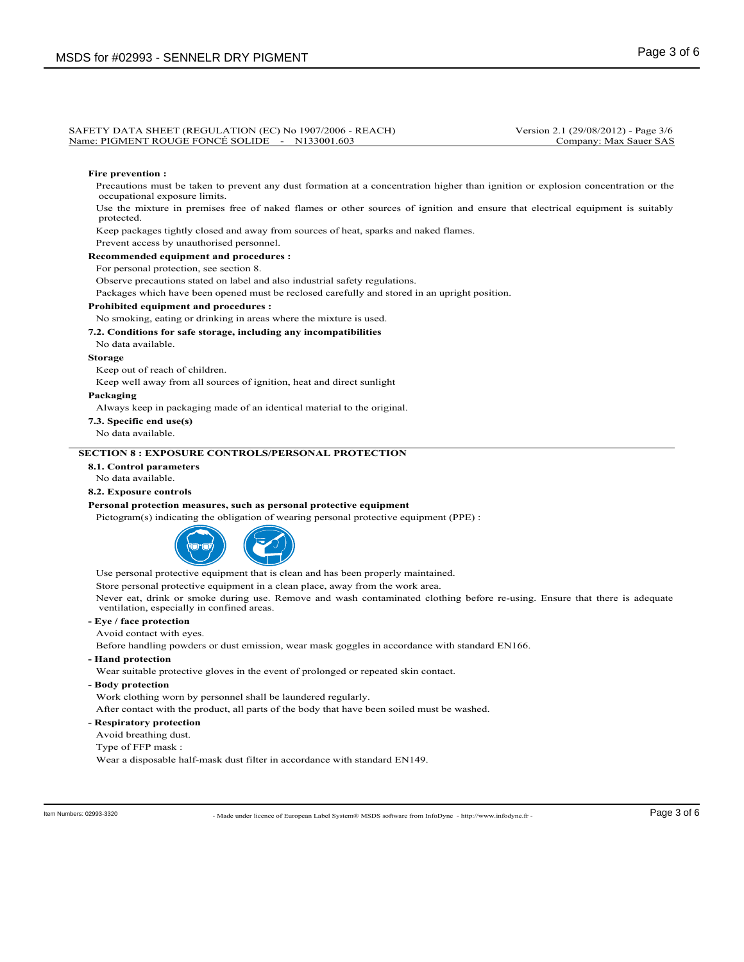#### SAFETY DATA SHEET (REGULATION (EC) No 1907/2006 - REACH) Version 2.1 (29/08/2012) - Page 3/6<br>Name: PIGMENT ROUGE FONCÉ SOLIDE - N133001.603 Company: Max Sauer SAS Name: PIGMENT ROUGE FONCÉ SOLIDE - N133001.603

#### **Fire prevention :**

Precautions must be taken to prevent any dust formation at a concentration higher than ignition or explosion concentration or the occupational exposure limits.

Use the mixture in premises free of naked flames or other sources of ignition and ensure that electrical equipment is suitably protected.

Keep packages tightly closed and away from sources of heat, sparks and naked flames.

Prevent access by unauthorised personnel.

**Recommended equipment and procedures :**

For personal protection, see section 8.

Observe precautions stated on label and also industrial safety regulations.

Packages which have been opened must be reclosed carefully and stored in an upright position.

#### **Prohibited equipment and procedures :**

#### No smoking, eating or drinking in areas where the mixture is used.

#### **7.2. Conditions for safe storage, including any incompatibilities**

No data available.

#### **Storage**

Keep out of reach of children.

Keep well away from all sources of ignition, heat and direct sunlight

#### **Packaging**

Always keep in packaging made of an identical material to the original.

**7.3. Specific end use(s)**

No data available.

### **SECTION 8 : EXPOSURE CONTROLS/PERSONAL PROTECTION**

## **8.1. Control parameters**

No data available.

# **8.2. Exposure controls**

#### **Personal protection measures, such as personal protective equipment**

Pictogram(s) indicating the obligation of wearing personal protective equipment (PPE) :



Use personal protective equipment that is clean and has been properly maintained.

Store personal protective equipment in a clean place, away from the work area.

Never eat, drink or smoke during use. Remove and wash contaminated clothing before re-using. Ensure that there is adequate ventilation, especially in confined areas.

# **- Eye / face protection**

Avoid contact with eyes.

Before handling powders or dust emission, wear mask goggles in accordance with standard EN166.

**- Hand protection**

Wear suitable protective gloves in the event of prolonged or repeated skin contact.

**- Body protection**

Work clothing worn by personnel shall be laundered regularly.

After contact with the product, all parts of the body that have been soiled must be washed.

- **Respiratory protection**
- Avoid breathing dust.
- Type of FFP mask :

Wear a disposable half-mask dust filter in accordance with standard EN149.

- Made under licence of European Label System® MSDS software from InfoDyne - http://www.infodyne.fr - Item Numbers: 02993-3320 Page 3 of 6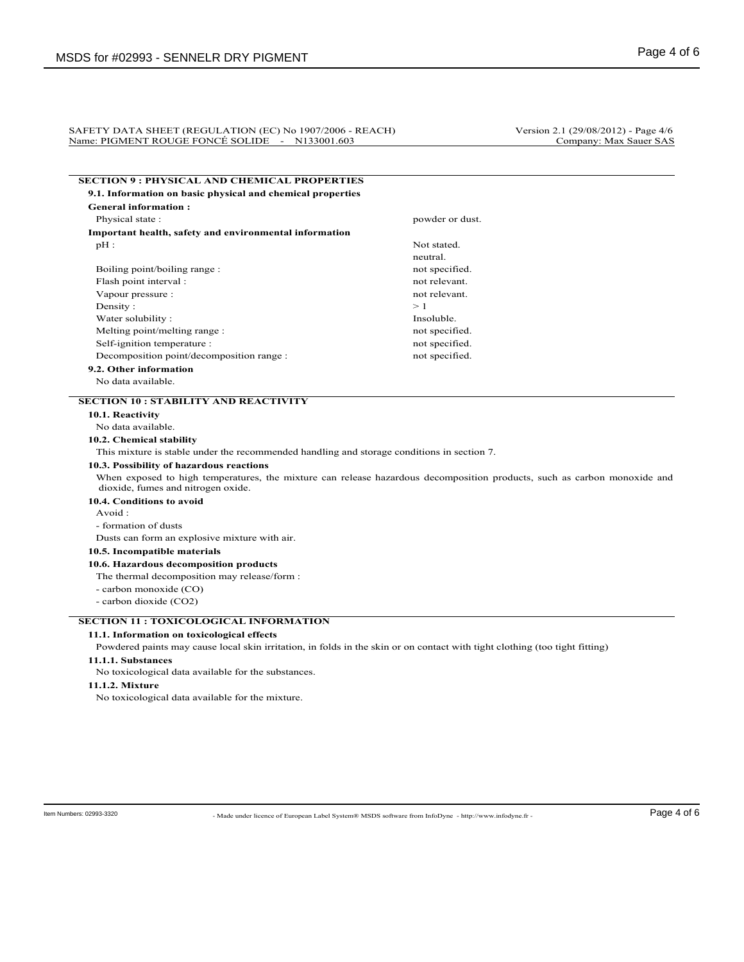#### SAFETY DATA SHEET (REGULATION (EC) No 1907/2006 - REACH) Version 2.1 (29/08/2012) - Page 4/6 Name: PIGMENT ROUGE FONCÉ SOLIDE - N133001.603 Company: Max Sauer SAS

|                                                                                             | <b>SECTION 9: PHYSICAL AND CHEMICAL PROPERTIES</b>                                                                          |
|---------------------------------------------------------------------------------------------|-----------------------------------------------------------------------------------------------------------------------------|
| 9.1. Information on basic physical and chemical properties                                  |                                                                                                                             |
| <b>General information:</b>                                                                 |                                                                                                                             |
| Physical state:                                                                             | powder or dust.                                                                                                             |
| Important health, safety and environmental information                                      |                                                                                                                             |
| $pH$ :                                                                                      | Not stated.                                                                                                                 |
|                                                                                             | neutral.                                                                                                                    |
| Boiling point/boiling range :                                                               | not specified.                                                                                                              |
| Flash point interval:                                                                       | not relevant.                                                                                                               |
| Vapour pressure :                                                                           | not relevant.                                                                                                               |
| Density:                                                                                    | >1                                                                                                                          |
| Water solubility:                                                                           | Insoluble.                                                                                                                  |
| Melting point/melting range:                                                                | not specified.                                                                                                              |
| Self-ignition temperature :                                                                 | not specified.                                                                                                              |
| Decomposition point/decomposition range :                                                   | not specified.                                                                                                              |
| 9.2. Other information                                                                      |                                                                                                                             |
| No data available.                                                                          |                                                                                                                             |
| <b>SECTION 10 : STABILITY AND REACTIVITY</b>                                                |                                                                                                                             |
| 10.1. Reactivity                                                                            |                                                                                                                             |
| No data available.                                                                          |                                                                                                                             |
| 10.2. Chemical stability                                                                    |                                                                                                                             |
| This mixture is stable under the recommended handling and storage conditions in section 7.  |                                                                                                                             |
| 10.3. Possibility of hazardous reactions                                                    |                                                                                                                             |
| dioxide, fumes and nitrogen oxide.                                                          | When exposed to high temperatures, the mixture can release hazardous decomposition products, such as carbon monoxide and    |
| 10.4. Conditions to avoid                                                                   |                                                                                                                             |
| Avoid:                                                                                      |                                                                                                                             |
| - formation of dusts                                                                        |                                                                                                                             |
| Dusts can form an explosive mixture with air.                                               |                                                                                                                             |
| 10.5. Incompatible materials                                                                |                                                                                                                             |
| 10.6. Hazardous decomposition products                                                      |                                                                                                                             |
| The thermal decomposition may release/form :                                                |                                                                                                                             |
| - carbon monoxide (CO)                                                                      |                                                                                                                             |
|                                                                                             |                                                                                                                             |
| - carbon dioxide (CO2)                                                                      |                                                                                                                             |
|                                                                                             |                                                                                                                             |
|                                                                                             |                                                                                                                             |
| <b>SECTION 11 : TOXICOLOGICAL INFORMATION</b><br>11.1. Information on toxicological effects |                                                                                                                             |
| 11.1.1. Substances                                                                          | Powdered paints may cause local skin irritation, in folds in the skin or on contact with tight clothing (too tight fitting) |
|                                                                                             |                                                                                                                             |
| No toxicological data available for the substances.<br>11.1.2. Mixture                      |                                                                                                                             |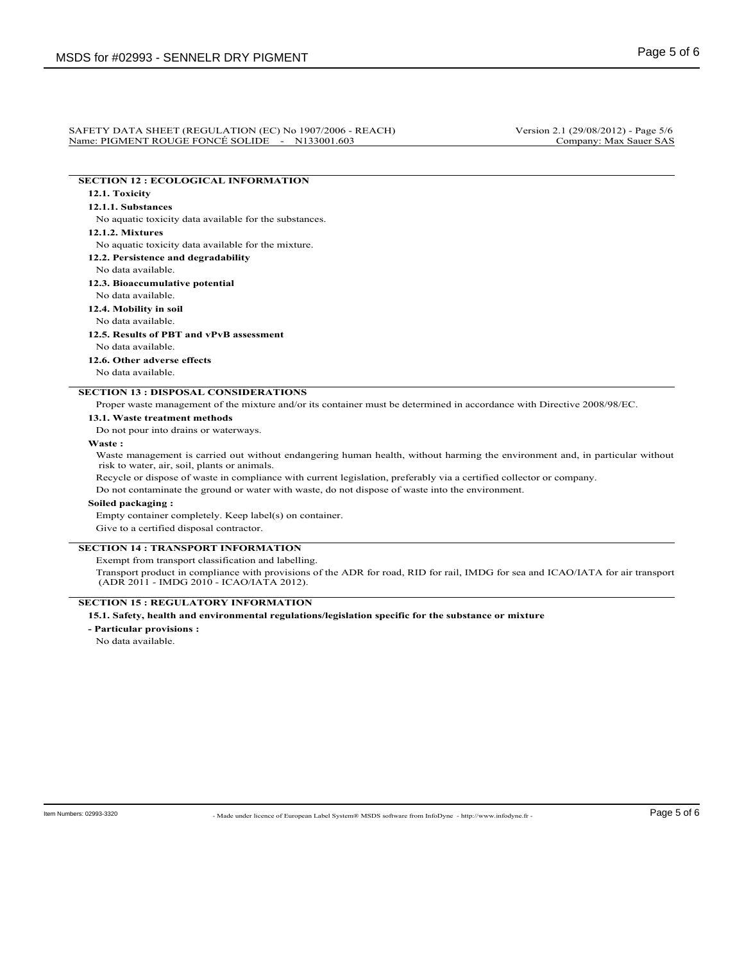#### SAFETY DATA SHEET (REGULATION (EC) No 1907/2006 - REACH) Version 2.1 (29/08/2012) - Page 5/6<br>Name: PIGMENT ROUGE FONCÉ SOLIDE - N133001.603 Company: Max Sauer SAS Name: PIGMENT ROUGE FONCÉ SOLIDE - N133001.603

# **SECTION 12 : ECOLOGICAL INFORMATION**

# **12.1. Toxicity**

# **12.1.1. Substances**

No aquatic toxicity data available for the substances.

### **12.1.2. Mixtures**

No aquatic toxicity data available for the mixture.

**12.2. Persistence and degradability**

#### No data available.

**12.3. Bioaccumulative potential**

# No data available.

**12.4. Mobility in soil**

# No data available.

**12.5. Results of PBT and vPvB assessment**

No data available.

**12.6. Other adverse effects**

No data available.

# **SECTION 13 : DISPOSAL CONSIDERATIONS**

Proper waste management of the mixture and/or its container must be determined in accordance with Directive 2008/98/EC.

#### **13.1. Waste treatment methods**

Do not pour into drains or waterways.

#### **Waste :**

Waste management is carried out without endangering human health, without harming the environment and, in particular without risk to water, air, soil, plants or animals.

Recycle or dispose of waste in compliance with current legislation, preferably via a certified collector or company.

Do not contaminate the ground or water with waste, do not dispose of waste into the environment.

### **Soiled packaging :**

Empty container completely. Keep label(s) on container.

Give to a certified disposal contractor.

# **SECTION 14 : TRANSPORT INFORMATION**

Exempt from transport classification and labelling.

Transport product in compliance with provisions of the ADR for road, RID for rail, IMDG for sea and ICAO/IATA for air transport (ADR 2011 - IMDG 2010 - ICAO/IATA 2012).

# **SECTION 15 : REGULATORY INFORMATION**

# **15.1. Safety, health and environmental regulations/legislation specific for the substance or mixture**

**- Particular provisions :**

No data available.